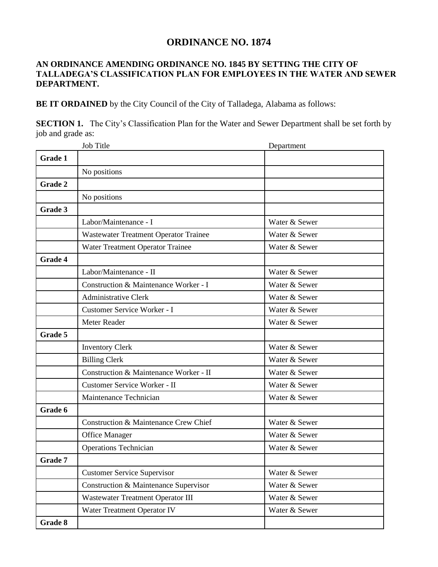## **ORDINANCE NO. 1874**

## **AN ORDINANCE AMENDING ORDINANCE NO. 1845 BY SETTING THE CITY OF TALLADEGA'S CLASSIFICATION PLAN FOR EMPLOYEES IN THE WATER AND SEWER DEPARTMENT.**

**BE IT ORDAINED** by the City Council of the City of Talladega, Alabama as follows:

**SECTION 1.** The City's Classification Plan for the Water and Sewer Department shall be set forth by job and grade as:

|         | Job Title                              | Department    |
|---------|----------------------------------------|---------------|
| Grade 1 |                                        |               |
|         | No positions                           |               |
| Grade 2 |                                        |               |
|         | No positions                           |               |
| Grade 3 |                                        |               |
|         | Labor/Maintenance - I                  | Water & Sewer |
|         | Wastewater Treatment Operator Trainee  | Water & Sewer |
|         | Water Treatment Operator Trainee       | Water & Sewer |
| Grade 4 |                                        |               |
|         | Labor/Maintenance - II                 | Water & Sewer |
|         | Construction & Maintenance Worker - I  | Water & Sewer |
|         | <b>Administrative Clerk</b>            | Water & Sewer |
|         | Customer Service Worker - I            | Water & Sewer |
|         | Meter Reader                           | Water & Sewer |
| Grade 5 |                                        |               |
|         | <b>Inventory Clerk</b>                 | Water & Sewer |
|         | <b>Billing Clerk</b>                   | Water & Sewer |
|         | Construction & Maintenance Worker - II | Water & Sewer |
|         | Customer Service Worker - II           | Water & Sewer |
|         | Maintenance Technician                 | Water & Sewer |
| Grade 6 |                                        |               |
|         | Construction & Maintenance Crew Chief  | Water & Sewer |
|         | <b>Office Manager</b>                  | Water & Sewer |
|         | <b>Operations Technician</b>           | Water & Sewer |
| Grade 7 |                                        |               |
|         | <b>Customer Service Supervisor</b>     | Water & Sewer |
|         | Construction & Maintenance Supervisor  | Water & Sewer |
|         | Wastewater Treatment Operator III      | Water & Sewer |
|         | Water Treatment Operator IV            | Water & Sewer |
| Grade 8 |                                        |               |